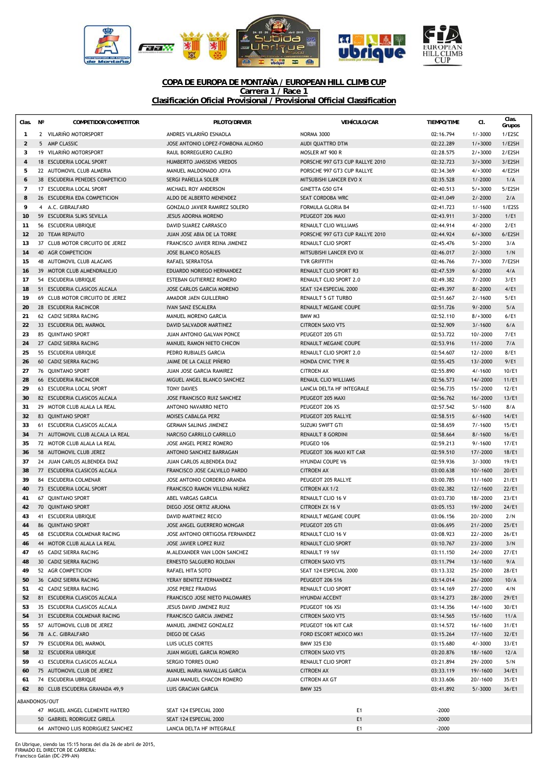

## **COPA DE EUROPA DE MONTAÑA / EUROPEAN HILL CLIMB CUP Carrera 1 / Race 1 Clasificación Oficial Provisional / Provisional Official Classification**

| Clas.               | $N^{\circ}$ | COMPETIDOR/COMPETITOR                                            | PILOTO/DRIVER                                              | <b>VEHÍCULO/CAR</b>                                 | <b>TIEMPO/TIME</b>     | CI.                      | Clas.<br>Grupos |
|---------------------|-------------|------------------------------------------------------------------|------------------------------------------------------------|-----------------------------------------------------|------------------------|--------------------------|-----------------|
| $\mathbf{1}$        |             | 2 VILARIÑO MOTORSPORT                                            | ANDRES VILARIÑO ESNAOLA                                    | <b>NORMA 3000</b>                                   | 02:16.794              | $1/-3000$                | 1/E2SC          |
| $\overline{2}$      |             | 5 AMP CLASSIC                                                    | JOSE ANTONIO LOPEZ-FOMBONA ALONSO                          | AUDI QUATTRO DTM                                    | 02:22.289              | $1/+3000$                | 1/E2SH          |
| 3                   |             | 19 VILARIÑO MOTORSPORT                                           | RAUL BORREGUERO CALERO                                     | MOSLER MT 900 R                                     | 02:28.575              | $2/+3000$                | 2/E2SH          |
| $\overline{4}$      |             | 18 ESCUDERIA LOCAL SPORT                                         | HUMBERTO JANSSENS VREDOS                                   | PORSCHE 997 GT3 CUP RALLYE 2010                     | 02:32.723              | $3/+3000$                | 3/E2SH          |
| 5                   |             | 22 AUTOMOVIL CLUB ALMERIA                                        | MANUEL MALDONADO JOYA                                      | PORSCHE 997 GT3 CUP RALLYE                          | 02:34.369              | $4/+3000$                | 4/E2SH          |
| 6<br>$\overline{7}$ |             | 38 ESCUDERIA PENEDES COMPETICIO<br>17 ESCUDERIA LOCAL SPORT      | SERGI PAÑELLA SOLER<br>MICHAEL ROY ANDERSON                | MITSUBISHI LANCER EVO X<br>GINETTA G50 GT4          | 02:35.528<br>02:40.513 | $1/-2000$<br>$5/+3000$   | 1/A<br>5/E2SH   |
| 8                   |             | 26 ESCUDERIA EDA COMPETICION                                     | ALDO DE ALBERTO MENENDEZ                                   | SEAT CORDOBA WRC                                    | 02:41.049              | $2/-2000$                | 2/A             |
| 9                   |             | 4 A.C. GIBRALFARO                                                | <b>GONZALO JAVIER RAMIREZ SOLERO</b>                       | FORMULA GLORIA B4                                   | 02:41.723              | $1/-1600$                | 1/E2SS          |
| 10                  |             | 59 ESCUDERIA SLIKS SEVILLA                                       | <b>JESUS ADORNA MORENO</b>                                 | PEUGEOT 206 MAXI                                    | 02:43.911              | $3/-2000$                | 1/E1            |
| 11                  |             | 56 ESCUDERIA UBRIOUE                                             | DAVID SUAREZ CARRASCO                                      | RENAULT CLIO WILLIAMS                               | 02:44.914              | $4/-2000$                | 2/E1            |
| 12                  |             | 20 TEAM REPAUTO                                                  | JUAN JOSE ABIA DE LA TORRE                                 | PORSCHE 997 GT3 CUP RALLYE 2010                     | 02:44.924              | $6/+3000$                | 6/E2SH          |
| 13                  |             | 37 CLUB MOTOR CIRCUITO DE JEREZ                                  | FRANCISCO JAVIER REINA JIMENEZ                             | <b>RENAULT CLIO SPORT</b>                           | 02:45.476              | $5/-2000$                | 3/A             |
| 14                  |             | 40 AGR COMPETICION                                               | <b>JOSE BLANCO ROSALES</b>                                 | MITSUBISHI LANCER EVO IX                            | 02:46.017              | $2/-3000$                | 1/N             |
| 15                  |             | 48 AUTOMOVIL CLUB ALACANS                                        | RAFAEL SERRATOSA                                           | <b>TVR GRIFFITH</b>                                 | 02:46.766              | $7/+3000$                | 7/E2SH          |
| 16                  |             | 39 MOTOR CLUB ALMENDRALEJO                                       | EDUARDO NORIEGO HERNANDEZ                                  | RENAULT CLIO SPORT R3                               | 02:47.539              | $6/ - 2000$              | 4/A             |
| 17                  |             | 54 ESCUDERIA UBRIQUE                                             | ESTEBAN GUTIERREZ ROMERO                                   | RENAULT CLIO SPORT 2.0                              | 02:49.382              | $7/ - 2000$              | 3/E1            |
| 18                  |             | 51 ESCUDERIA CLASICOS ALCALA                                     | <b>JOSE CARLOS GARCIA MORENO</b><br>AMADOR JAEN GUILLERMO  | SEAT 124 ESPECIAL 2000<br><b>RENAULT 5 GT TURBO</b> | 02:49.397              | $8/-2000$                | 4/E1            |
| 19<br>20            |             | 69 CLUB MOTOR CIRCUITO DE JEREZ<br>28 ESCUDERIA RACINCOR         | <b>IVAN SANZ ESCALERA</b>                                  | RENAULT MEGANE COUPE                                | 02:51.667<br>02:51.726 | $2/-1600$<br>$9/ - 2000$ | 5/E1<br>5/A     |
| 21                  |             | 62 CADIZ SIERRA RACING                                           | MANUEL MORENO GARCIA                                       | BMW M3                                              | 02:52.110              | $8/+3000$                | 6/E1            |
| 22                  |             | 33 ESCUDERIA DEL MARMOL                                          | DAVID SALVADOR MARTINEZ                                    | <b>CITROEN SAXO VTS</b>                             | 02:52.909              | $3/-1600$                | 6/A             |
| 23                  |             | 85 QUINTANO SPORT                                                | JUAN ANTONIO GALVAN PONCE                                  | PEUGEOT 205 GTI                                     | 02:53.722              | $10/-2000$               | 7/E1            |
| 24                  |             | 27 CADIZ SIERRA RACING                                           | MANUEL RAMON NIETO CHICON                                  | RENAULT MEGANE COUPE                                | 02:53.916              | $11/-2000$               | 7/A             |
| 25                  |             | 55 ESCUDERIA UBRIQUE                                             | PEDRO RUBIALES GARCIA                                      | <b>RENAULT CLIO SPORT 2.0</b>                       | 02:54.607              | $12/-2000$               | 8/E1            |
| 26                  |             | 60 CADIZ SIERRA RACING                                           | JAIME DE LA CALLE PINERO                                   | HONDA CIVIC TYPE R                                  | 02:55.425              | $13/-2000$               | 9/E1            |
| 27                  |             | 76 QUINTANO SPORT                                                | JUAN JOSE GARCIA RAMIREZ                                   | <b>CITROEN AX</b>                                   | 02:55.890              | $4/-1600$                | 10/E1           |
| 28                  |             | 66 ESCUDERIA RACINCOR                                            | MIGUEL ANGEL BLANCO SANCHEZ                                | RENAUL CLIO WILLIAMS                                | 02:56.573              | 14/-2000                 | 11/E1           |
| 29                  |             | 63 ESCUDERIA LOCAL SPORT                                         | <b>TONY DAVIES</b>                                         | LANCIA DELTA HF INTEGRALE                           | 02:56.735              | 15/-2000                 | 12/E1           |
| 30                  |             | 82 ESCUDERIA CLASICOS ALCALA                                     | JOSE FRANCISCO RUIZ SANCHEZ                                | PEUGEOT 205 MAXI                                    | 02:56.762              | $16/-2000$               | 13/E1           |
| 31                  |             | 29 MOTOR CLUB ALALA LA REAL                                      | ANTONIO NAVARRO NIETO                                      | PEUGEOT 206 XS                                      | 02:57.542              | $5/-1600$                | 8/A             |
| 32                  |             | 83 QUINTANO SPORT                                                | MOISES CABALGA PERZ                                        | PEUGEOT 205 RALLYE                                  | 02:58.515              | $6/-1600$                | 14/E1           |
| 33<br>34            |             | 61 ESCUDERIA CLASICOS ALCALA<br>71 AUTOMOVIL CLUB ALCALA LA REAL | <b>GERMAN SALINAS JIMENEZ</b><br>NARCISO CARRILLO CARRILLO | SUZUKI SWIFT GTI<br><b>RENAULT 8 GORDINI</b>        | 02:58.659<br>02:58.664 | $7/-1600$<br>$8/-1600$   | 15/E1<br>16/E1  |
| 35                  |             | 72 MOTOR CLUB ALALA LA REAL                                      | JOSE ANGEL PEREZ ROMERO                                    | PEUGEO 106                                          | 02:59.213              | $9/ - 1600$              | 17/E1           |
| 36                  |             | 58 AUTOMOVIL CLUB JEREZ                                          | ANTONIO SANCHEZ BARRAGAN                                   | PEUGEOT 306 MAXI KIT CAR                            | 02:59.510              | $17/-2000$               | 18/E1           |
| 37                  |             | 24 JUAN CARLOS ALBENDEA DIAZ                                     | JUAN CARLOS ALBENDEA DIAZ                                  | <b>HYUNDAI COUPE V6</b>                             | 02:59.936              | $3/-3000$                | 19/E1           |
| 38                  |             | 77 ESCUDERIA CLASICOS ALCALA                                     | FRANCISCO JOSE CALVILLO PARDO                              | <b>CITROEN AX</b>                                   | 03:00.638              | $10/-1600$               | 20/E1           |
| 39                  |             | 84 ESCUDERIA COLMENAR                                            | JOSE ANTONIO CORDERO ARANDA                                | PEUGEOT 205 RALLYE                                  | 03:00.785              | $11/-1600$               | 21/E1           |
| 40                  |             | 73 ESCUDERIA LOCAL SPORT                                         | FRANCISCO RAMON VILLENA NUÑEZ                              | CITROEN AX 1/2                                      | 03:02.382              | $12/-1600$               | 22/E1           |
| 41                  |             | 67 QUINTANO SPORT                                                | ABEL VARGAS GARCIA                                         | RENAULT CLIO 16 V                                   | 03:03.730              | 18/-2000                 | 23/E1           |
| 42                  |             | 70 QUINTANO SPORT                                                | DIEGO JOSE ORTIZ ARJONA                                    | <b>CITROEN ZX 16 V</b>                              | 03:05.153              | 19/-2000                 | 24/E1           |
| 43                  |             | 41 ESCUDERIA UBRIQUE                                             | DAVID MARTINEZ RECIO                                       | <b>RENAULT MEGANE COUPE</b>                         | 03:06.156              | $20/-2000$               | 2/N             |
| 44                  |             | 86 QUINTANO SPORT                                                | JOSE ANGEL GUERRERO MONGAR                                 | PEUGEOT 205 GTI                                     | 03:06.695              | $21/-2000$               | 25/E1           |
| 45                  |             | 68 ESCUDERIA COLMENAR RACING                                     | JOSE ANTONIO ORTIGOSA FERNANDEZ                            | RENAULT CLIO 16 V                                   | 03:08.923              | 22/-2000                 | 26/E1           |
| 46                  |             | 44 MOTOR CLUB ALALA LA REAL                                      | JOSE JAVIER LOPEZ RUIZ                                     | RENAULT CLIO SPORT                                  | 03:10.767              | $23/-2000$               | 3/N             |
| 47                  |             | 65 CADIZ SIERRA RACING<br>30 CADIZ SIERRA RACING                 | M.ALEXANDER VAN LOON SANCHEZ<br>ERNESTO SALGUERO ROLDAN    | RENAULT 19 16V                                      | 03:11.150<br>03:11.794 | 24/-2000<br>$13/-1600$   | 27/E1<br>9/A    |
| 48<br>49            |             | 52 AGR COMPETICION                                               | RAFAEL HITA SOTO                                           | <b>CITROEN SAXO VTS</b><br>SEAT 124 ESPECIAL 2000   | 03:13.332              | 25/-2000                 | 28/E1           |
| 50                  |             | 36 CADIZ SIERRA RACING                                           | YERAY BENITEZ FERNANDEZ                                    | <b>PEUGEOT 206 S16</b>                              | 03:14.014              | $26/-2000$               | 10/A            |
| 51                  |             | 42 CADIZ SIERRA RACING                                           | JOSE PEREZ FRAIDIAS                                        | RENAULT CLIO SPORT                                  | 03:14.169              | 27/-2000                 | 4/N             |
| 52                  |             | 81 ESCUDERIA CLASICOS ALCALA                                     | FRANCISCO JOSE NIETO PALOMARES                             | HYUNDAI ACCENT                                      | 03:14.273              | 28/-2000                 | 29/E1           |
| 53                  |             | 35 ESCUDERIA CLASICOS ALCALA                                     | JESUS DAVID JIMENEZ RUIZ                                   | PEUGEOT 106 XSI                                     | 03:14.356              | 14/-1600                 | 30/E1           |
| 54                  |             | 31 ESCUDERIA COLMENAR RACING                                     | FRANCISCO GARCIA JIMENEZ                                   | <b>CITROEN SAXO VTS</b>                             | 03:14.565              | $15/-1600$               | 11/A            |
| 55                  |             | 57 AUTOMOVIL CLUB DE JEREZ                                       | MANUEL JIMENEZ GONZALEZ                                    | PEUGEOT 106 KIT CAR                                 | 03:14.572              | $16/-1600$               | 31/E1           |
| 56                  |             | 78 A.C. GIBRALFARO                                               | DIEGO DE CASAS                                             | FORD ESCORT MEXICO MK1                              | 03:15.264              | $17/-1600$               | 32/E1           |
| 57                  |             | 79 ESCUDERIA DEL MARMOL                                          | LUIS UCLES CORTES                                          | BMW 325 E30                                         | 03:15.680              | $4/-3000$                | 33/E1           |
| 58                  |             | 32 ESCUDERIA UBRIQUE                                             | JUAN MIGUEL GARCIA ROMERO                                  | <b>CITROEN SAXO VTS</b>                             | 03:20.876              | $18/-1600$               | 12/A            |
| 59                  |             | 43 ESCUDERIA CLASICOS ALCALA                                     | SERGIO TORRES OLMO                                         | RENAULT CLIO SPORT                                  | 03:21.894              | 29/-2000                 | 5/N             |
| 60                  |             | 75 AUTOMOVIL CLUB DE JEREZ                                       | MANUEL MARIA NAVALLAS GARCIA                               | <b>CITROEN AX</b>                                   | 03:33.119              | 19/-1600                 | 34/E1           |
| 61                  |             | 74 ESCUDERIA UBRIQUE                                             | JUAN MANUEL CHACON ROMERO                                  | <b>CITROEN AX GT</b>                                | 03:33.606<br>03:41.892 | 20/-1600                 | 35/E1           |
| 62                  |             | 80 CLUB ESCUDERIA GRANADA 49,9                                   | LUIS GRACIAN GARCIA                                        | <b>BMW 325</b>                                      |                        | $5/-3000$                | 36/E1           |
| ABANDONOS/OUT       |             |                                                                  |                                                            |                                                     |                        |                          |                 |
|                     |             | 47 MIGUEL ANGEL CLEMENTE HATERO                                  | SEAT 124 ESPECIAL 2000                                     | E1                                                  | $-2000$                |                          |                 |
|                     |             | 50 GABRIEL RODRIGUEZ GIRELA<br>64 ANTONIO LUIS RODRIGUEZ SANCHEZ | SEAT 124 ESPECIAL 2000<br>LANCIA DELTA HF INTEGRALE        | E1                                                  | $-2000$<br>$-2000$     |                          |                 |
|                     |             |                                                                  |                                                            | E1                                                  |                        |                          |                 |

En Ubrique, siendo las 15:15 horas del día 26 de abril de 2015, FIRMADO EL DIRECTOR DE CARRERA: Francisco Galán (DC-299-AN)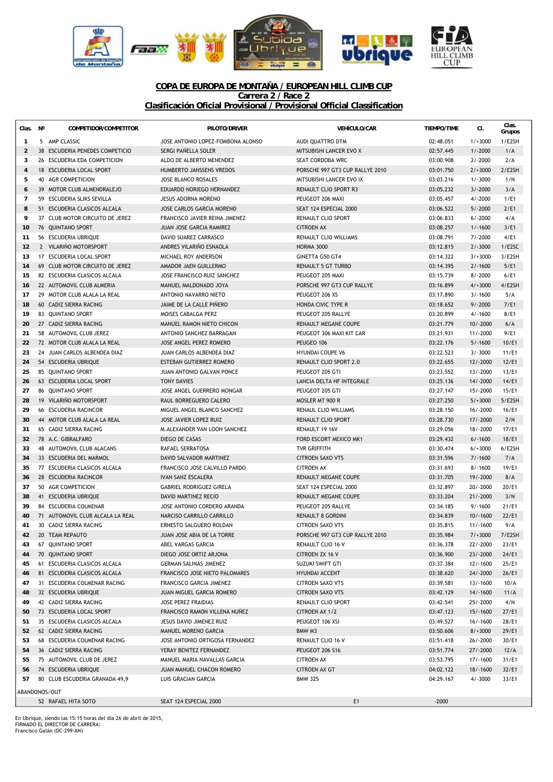

## **COPA DE EUROPA DE MONTAÑA / EUROPEAN HILL CLIMB CUP Carrera 2 / Race 2 Clasificación Oficial Provisional / Provisional Official Classification**

| Clas. Nº                                                                  |  | COMPETIDOR/COMPETITOR            | PILOTO/DRIVER                     | <b>VEHÍCULO/CAR</b>             | <b>TIEMPO/TIME</b> | CI.         | Clas.<br>Grupos |
|---------------------------------------------------------------------------|--|----------------------------------|-----------------------------------|---------------------------------|--------------------|-------------|-----------------|
| $\mathbf{1}$                                                              |  | 5 AMP CLASSIC                    | JOSE ANTONIO LOPEZ-FOMBONA ALONSO | AUDI QUATTRO DTM                | 02:48.051          | $1/+3000$   | 1/E2SH          |
| $\overline{2}$                                                            |  | 38 ESCUDERIA PENEDES COMPETICIO  | SERGI PAÑELLA SOLER               | MITSUBISHI LANCER EVO X         | 02:57.445          | $1/-2000$   | 1/A             |
| 3                                                                         |  | 26 ESCUDERIA EDA COMPETICION     | ALDO DE ALBERTO MENENDEZ          | SEAT CORDOBA WRC                | 03:00.908          | $2/ - 2000$ | 2/A             |
| $\overline{4}$                                                            |  | 18 ESCUDERIA LOCAL SPORT         | HUMBERTO JANSSENS VREDOS          | PORSCHE 997 GT3 CUP RALLYE 2010 | 03:01.750          | $2/+3000$   | 2/E2SH          |
| 5                                                                         |  | 40 AGR COMPETICION               | JOSE BLANCO ROSALES               | MITSUBISHI LANCER EVO IX        | 03:03.216          | $1/-3000$   | 1/N             |
| 6                                                                         |  | 39 MOTOR CLUB ALMENDRALEJO       | EDUARDO NORIEGO HERNANDEZ         | RENAULT CLIO SPORT R3           | 03:05.232          | $3/-2000$   | 3/A             |
| $\overline{7}$                                                            |  | 59 ESCUDERIA SLIKS SEVILLA       | JESUS ADORNA MORENO               | PEUGEOT 206 MAXI                | 03:05.457          | $4/-2000$   | 1/E1            |
| 8                                                                         |  | 51 ESCUDERIA CLASICOS ALCALA     | JOSE CARLOS GARCIA MORENO         | SEAT 124 ESPECIAL 2000          | 03:06.522          | $5/ -2000$  | 2/E1            |
| 9                                                                         |  | 37 CLUB MOTOR CIRCUITO DE JEREZ  | FRANCISCO JAVIER REINA JIMENEZ    | RENAULT CLIO SPORT              | 03:06.833          | $6/ -2000$  | 4/A             |
| 10                                                                        |  | 76 QUINTANO SPORT                | JUAN JOSE GARCIA RAMIREZ          | <b>CITROEN AX</b>               | 03:08.257          | $1/-1600$   | 3/E1            |
| 11                                                                        |  | 56 ESCUDERIA UBRIQUE             | DAVID SUAREZ CARRASCO             | <b>RENAULT CLIO WILLIAMS</b>    | 03:08.791          | $7/ - 2000$ | 4/E1            |
| 12                                                                        |  | 2 VILARIÑO MOTORSPORT            | ANDRES VILARINO ESNAOLA           | <b>NORMA 3000</b>               | 03:12.815          | $2/-3000$   | 1/E2SC          |
| 13                                                                        |  | 17 ESCUDERIA LOCAL SPORT         | MICHAEL ROY ANDERSON              | <b>GINETTA G50 GT4</b>          | 03:14.322          | $3/+3000$   | 3/E2SH          |
| 14                                                                        |  | 69 CLUB MOTOR CIRCUITO DE JEREZ  | AMADOR JAEN GUILLERMO             | <b>RENAULT 5 GT TURBO</b>       | 03:14.395          | $2/-1600$   | 5/E1            |
| 15                                                                        |  | 82 ESCUDERIA CLASICOS ALCALA     | JOSE FRANCISCO RUIZ SANCHEZ       | PEUGEOT 205 MAXI                | 03:15.739          | $8/ -2000$  | 6/E1            |
| 16                                                                        |  | 22 AUTOMOVIL CLUB ALMERIA        | MANUEL MALDONADO JOYA             | PORSCHE 997 GT3 CUP RALLYE      | 03:16.899          | $4/+3000$   | 4/E2SH          |
| 17                                                                        |  | 29 MOTOR CLUB ALALA LA REAL      | ANTONIO NAVARRO NIETO             | PEUGEOT 206 XS                  | 03:17.890          | $3/-1600$   | 5/A             |
| 18                                                                        |  | 60 CADIZ SIERRA RACING           | JAIME DE LA CALLE PIÑERO          | HONDA CIVIC TYPE R              | 03:18.652          | $9/ -2000$  | 7/E1            |
| 19                                                                        |  | 83 QUINTANO SPORT                | MOISES CABALGA PERZ               | PEUGEOT 205 RALLYE              | 03:20.899          | $4/-1600$   | 8/E1            |
| 20                                                                        |  | 27 CADIZ SIERRA RACING           | MANUEL RAMON NIETO CHICON         | RENAULT MEGANE COUPE            | 03:21.779          | $10/-2000$  | 6/A             |
| 21                                                                        |  | 58 AUTOMOVIL CLUB JEREZ          | ANTONIO SANCHEZ BARRAGAN          | PEUGEOT 306 MAXI KIT CAR        | 03:21.931          | $11/-2000$  | 9/E1            |
| 22                                                                        |  | 72 MOTOR CLUB ALALA LA REAL      | <b>JOSE ANGEL PEREZ ROMERO</b>    | PEUGEO 106                      | 03:22.176          | $5/ - 1600$ | 10/E1           |
| 23                                                                        |  | 24 JUAN CARLOS ALBENDEA DIAZ     | JUAN CARLOS ALBENDEA DIAZ         | <b>HYUNDAI COUPE V6</b>         | 03:22.523          | $3/-3000$   | 11/E1           |
| 24                                                                        |  | 54 ESCUDERIA UBRIQUE             | <b>ESTEBAN GUTIERREZ ROMERO</b>   | <b>RENAULT CLIO SPORT 2.0</b>   | 03:22.655          | $12/-2000$  | 12/E1           |
| 25                                                                        |  | 85 QUINTANO SPORT                | JUAN ANTONIO GALVAN PONCE         | PEUGEOT 205 GTI                 | 03:23.552          | 13/-2000    | 13/E1           |
| 26                                                                        |  | 63 ESCUDERIA LOCAL SPORT         | <b>TONY DAVIES</b>                | LANCIA DELTA HF INTEGRALE       | 03:25.136          | 14/-2000    | 14/E1           |
| 27                                                                        |  | 86 QUINTANO SPORT                | JOSE ANGEL GUERRERO MONGAR        | PEUGEOT 205 GTI                 | 03:27.147          | 15/-2000    | 15/E1           |
| 28                                                                        |  | 19 VILARIÑO MOTORSPORT           | RAUL BORREGUERO CALERO            | MOSLER MT 900 R                 | 03:27.250          | $5/+3000$   | $5/$ E2SH       |
| 29                                                                        |  | 66 ESCUDERIA RACINCOR            | MIGUEL ANGEL BLANCO SANCHEZ       | RENAUL CLIO WILLIAMS            | 03:28.150          | $16/-2000$  | $16$ /E1        |
| 30                                                                        |  | 44 MOTOR CLUB ALALA LA REAL      | JOSE JAVIER LOPEZ RUIZ            | RENAULT CLIO SPORT              | 03:28.730          | 17/-2000    | 2/N             |
| 31                                                                        |  | 65 CADIZ SIERRA RACING           | M.ALEXANDER VAN LOON SANCHEZ      | RENAULT 19 16V                  | 03:29.056          | 18/-2000    | 17/E1           |
| 32                                                                        |  | 78 A.C. GIBRALFARO               | DIEGO DE CASAS                    | FORD ESCORT MEXICO MK1          | 03:29.432          | $6/ - 1600$ | 18/E1           |
| 33                                                                        |  | 48 AUTOMOVIL CLUB ALACANS        | RAFAEL SERRATOSA                  | <b>TVR GRIFFITH</b>             | 03:30.474          | $6/+3000$   | 6/E2SH          |
| 34                                                                        |  | 33 ESCUDERIA DEL MARMOL          | DAVID SALVADOR MARTINEZ           | <b>CITROEN SAXO VTS</b>         | 03:31.596          | $7/ - 1600$ | 7/A             |
| 35                                                                        |  | 77 ESCUDERIA CLASICOS ALCALA     | FRANCISCO JOSE CALVILLO PARDO     | <b>CITROEN AX</b>               | 03:31.693          | $8/ - 1600$ | 19/E1           |
| 36                                                                        |  | 28 ESCUDERIA RACINCOR            | IVAN SANZ ESCALERA                | <b>RENAULT MEGANE COUPE</b>     | 03:31.705          | 19/-2000    | 8/A             |
| 37                                                                        |  | 50 AGR COMPETICION               | <b>GABRIEL RODRIGUEZ GIRELA</b>   | SEAT 124 ESPECIAL 2000          | 03:32.897          | $20/-2000$  | 20/E1           |
| 38                                                                        |  | 41 ESCUDERIA UBRIQUE             | DAVID MARTINEZ RECIO              | <b>RENAULT MEGANE COUPE</b>     | 03:33.204          | $21/-2000$  | 3/N             |
| 39                                                                        |  | 84 ESCUDERIA COLMENAR            | JOSE ANTONIO CORDERO ARANDA       | PEUGEOT 205 RALLYE              | 03:34.185          | $9/ - 1600$ | 21/E1           |
| 40                                                                        |  | 71 AUTOMOVIL CLUB ALCALA LA REAL | NARCISO CARRILLO CARRILLO         | <b>RENAULT 8 GORDINI</b>        | 03:34.839          | $10/-1600$  | 22/E1           |
| 41                                                                        |  | 30 CADIZ SIERRA RACING           | ERNESTO SALGUERO ROLDAN           | <b>CITROEN SAXO VTS</b>         | 03:35.815          | $11/-1600$  | 9/A             |
| 42                                                                        |  | 20 TEAM REPAUTO                  | JUAN JOSE ABIA DE LA TORRE        | PORSCHE 997 GT3 CUP RALLYE 2010 | 03:35.984          | $7/+3000$   | 7/E2SH          |
| 43                                                                        |  | 67 QUINTANO SPORT                | ABEL VARGAS GARCIA                | RENAULT CLIO 16 V               | 03:36.378          | 22/-2000    | 23/E1           |
| 44                                                                        |  | 70 QUINTANO SPORT                | DIEGO JOSE ORTIZ ARJONA           | CITROEN ZX 16 V                 | 03:36.900          | $23/-2000$  | 24/E1           |
| 45                                                                        |  | 61 ESCUDERIA CLASICOS ALCALA     | GERMAN SALINAS JIMENEZ            | SUZUKI SWIFT GTI                | 03:37.384          | $12/-1600$  | 25/E1           |
| 46                                                                        |  | 81 ESCUDERIA CLASICOS ALCALA     | FRANCISCO JOSE NIETO PALOMARES    | HYUNDAI ACCENT                  | 03:38.620          | $24/-2000$  | 26/E1           |
| 47                                                                        |  | 31 ESCUDERIA COLMENAR RACING     | FRANCISCO GARCIA JIMENEZ          | <b>CITROEN SAXO VTS</b>         | 03:39.581          | $13/-1600$  | 10/A            |
| 48                                                                        |  | 32 ESCUDERIA UBRIQUE             | JUAN MIGUEL GARCIA ROMERO         | <b>CITROEN SAXO VTS</b>         | 03:42.129          | $14/-1600$  | 11/A            |
| 49                                                                        |  | 42 CADIZ SIERRA RACING           | JOSE PEREZ FRAIDIAS               | RENAULT CLIO SPORT              | 03:42.541          | 25/-2000    | 4/N             |
| 50                                                                        |  | 73 ESCUDERIA LOCAL SPORT         | FRANCISCO RAMON VILLENA NUÑEZ     | CITROEN AX 1/2                  | 03:47.123          | $15/-1600$  | 27/E1           |
| 51                                                                        |  | 35 ESCUDERIA CLASICOS ALCALA     | JESUS DAVID JIMENEZ RUIZ          | PEUGEOT 106 XSI                 | 03:49.527          | $16/-1600$  | 28/E1           |
| 52                                                                        |  | 62 CADIZ SIERRA RACING           | MANUEL MORENO GARCIA              | BMW M3                          | 03:50.606          | $8/+3000$   | 29/E1           |
| 53                                                                        |  | 68 ESCUDERIA COLMENAR RACING     | JOSE ANTONIO ORTIGOSA FERNANDEZ   | RENAULT CLIO 16 V               | 03:51.418          | 26/-2000    | 30/E1           |
| 54                                                                        |  | 36 CADIZ SIERRA RACING           | YERAY BENITEZ FERNANDEZ           | PEUGEOT 206 S16                 | 03:51.774          | 27/-2000    | 12/A            |
| 55                                                                        |  | 75 AUTOMOVIL CLUB DE JEREZ       | MANUEL MARIA NAVALLAS GARCIA      | <b>CITROEN AX</b>               | 03:53.795          | 17/-1600    | 31/E1           |
| 56                                                                        |  | 74 ESCUDERIA UBRIQUE             | JUAN MANUEL CHACON ROMERO         | CITROEN AX GT                   | 04:02.122          | $18/-1600$  | 32/E1           |
| 57                                                                        |  | 80 CLUB ESCUDERIA GRANADA 49,9   | LUIS GRACIAN GARCIA               | <b>BMW 325</b>                  | 04:29.167          | $4/-3000$   | 33/E1           |
|                                                                           |  |                                  |                                   |                                 |                    |             |                 |
| ABANDONOS/OUT<br>SEAT 124 ESPECIAL 2000<br>$-2000$<br>52 RAFAEL HITA SOTO |  |                                  |                                   |                                 |                    |             |                 |
|                                                                           |  |                                  |                                   | E1                              |                    |             |                 |

En Ubrique, siendo las 15:15 horas del día 26 de abril de 2015, FIRMADO EL DIRECTOR DE CARRERA: Francisco Galán (DC-299-AN)